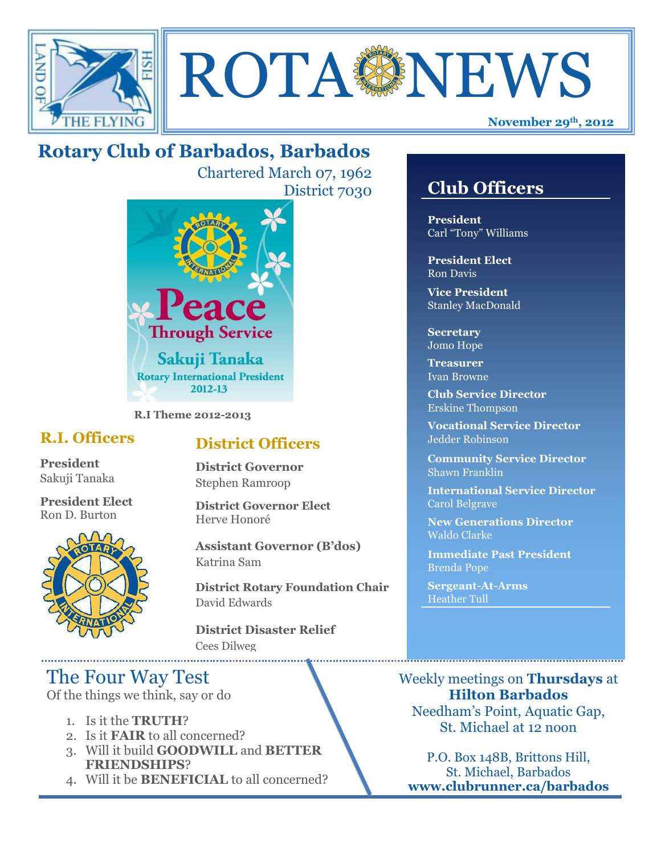



# **Rotary Club of Barbados, Barbados**

Chartered March 07, 1962 District 7030



**R.I Theme 2012-2013**

## **R.I. Officers**

**President**  Sakuji Tanaka

**President Elect** Ron D. Burton



## **District Officers**

**District Governor** Stephen Ramroop

**District Governor Elect** Herve Honoré

**Assistant Governor (B'dos)** Katrina Sam

**District Rotary Foundation Chair** David Edwards

**District Disaster Relief** Cees Dilweg

## The Four Way Test

Of the things we think, say or do

- 1. Is it the **TRUTH**?
- 2. Is it **FAIR** to all concerned?
- 3. Will it build **GOODWILL** and **BETTER FRIENDSHIPS**?
- 4. Will it be **BENEFICIAL** to all concerned?

## **Club Officers**

**Club Officers** 

**President** Carl "Tony" Williams

**President Elect** Ron Davis

**Vice President** Stanley MacDonald

**Secretary** Jomo Hope

**Treasurer** Ivan Browne

**Club Service Director** Erskine Thompson

**Vocational Service Director** Jedder Robinson

**Community Service Director** Shawn Franklin

**International Service Director** Carol Belgrave

**New Generations Director** Waldo Clarke

**Immediate Past President** Brenda Pope

**Sergeant-At-Arms** Heather Tull

Weekly meetings on **Thursdays** at **Hilton Barbados** Needham's Point, Aquatic Gap, St. Michael at 12 noon

P.O. Box 148B, Brittons Hill, St. Michael, Barbados **www.clubrunner.ca/barbados**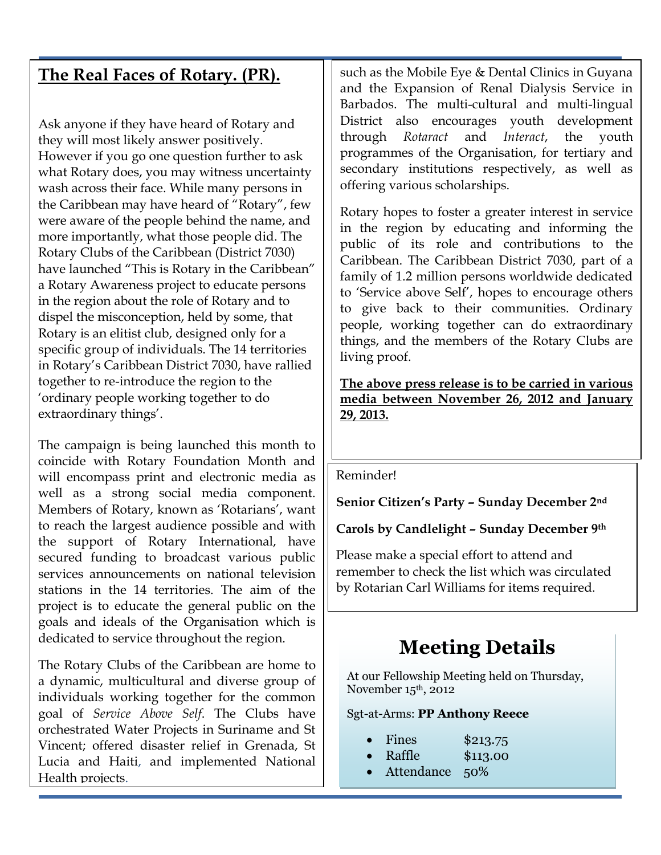## **The Real Faces of Rotary. (PR).**

Ask anyone if they have heard of Rotary and they will most likely answer positively. However if you go one question further to ask what Rotary does, you may witness uncertainty wash across their face. While many persons in the Caribbean may have heard of "Rotary", few were aware of the people behind the name, and more importantly, what those people did. The Rotary Clubs of the Caribbean (District 7030) have launched "This is Rotary in the Caribbean" a Rotary Awareness project to educate persons in the region about the role of Rotary and to dispel the misconception, held by some, that Rotary is an elitist club, designed only for a specific group of individuals. The 14 territories in Rotary"s Caribbean District 7030, have rallied together to re-introduce the region to the "ordinary people working together to do extraordinary things'.

The campaign is being launched this month to coincide with Rotary Foundation Month and will encompass print and electronic media as well as a strong social media component. Members of Rotary, known as 'Rotarians', want to reach the largest audience possible and with the support of Rotary International, have secured funding to broadcast various public services announcements on national television stations in the 14 territories. The aim of the project is to educate the general public on the goals and ideals of the Organisation which is dedicated to service throughout the region.

The Rotary Clubs of the Caribbean are home to a dynamic, multicultural and diverse group of individuals working together for the common goal of *Service Above Self*. The Clubs have orchestrated Water Projects in Suriname and St Vincent; offered disaster relief in Grenada, St Lucia and Haiti, and implemented National Health projects.

such as the Mobile Eye & Dental Clinics in Guyana and the Expansion of Renal Dialysis Service in Barbados. The multi-cultural and multi-lingual District also encourages youth development through *Rotaract* and *Interact*, the youth programmes of the Organisation, for tertiary and secondary institutions respectively, as well as offering various scholarships.

Rotary hopes to foster a greater interest in service in the region by educating and informing the public of its role and contributions to the Caribbean. The Caribbean District 7030, part of a family of 1.2 million persons worldwide dedicated to "Service above Self", hopes to encourage others to give back to their communities. Ordinary people, working together can do extraordinary things, and the members of the Rotary Clubs are living proof.

**The above press release is to be carried in various media between November 26, 2012 and January 29, 2013.**

#### Reminder!

. **Senior Citizen's Party – Sunday December 2nd**

## **Carols by Candlelight – Sunday December 9th**

Please make a special effort to attend and remember to check the list which was circulated by Rotarian Carl Williams for items required.

# **Meeting Details**

At our Fellowship Meeting held on Thursday, November 15th, 2012

#### Sgt-at-Arms: **PP Anthony Reece**

- Fines \$213.75
- Raffle \$113.00
- Attendance 50%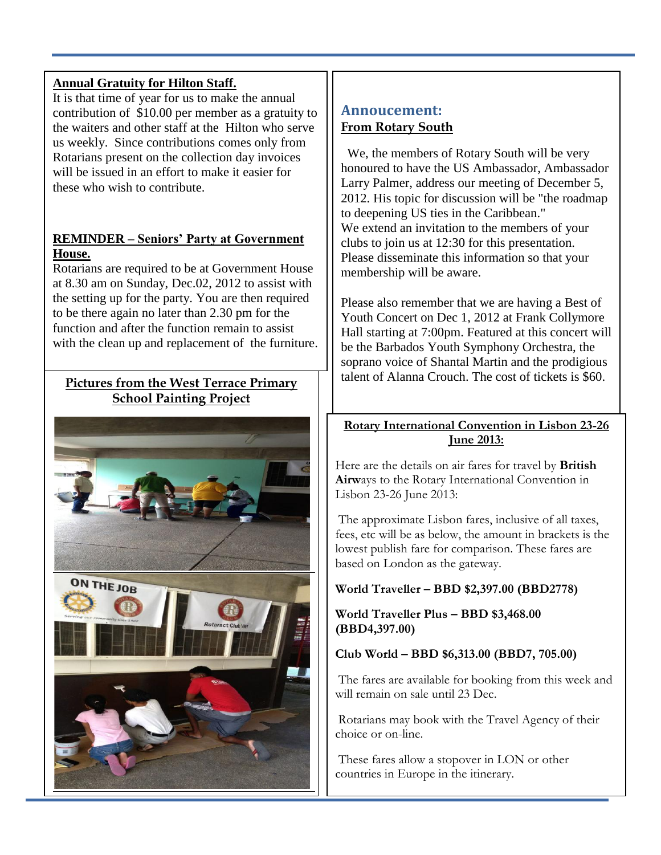### **Annual Gratuity for Hilton Staff.**

It is that time of year for us to make the annual contribution of \$10.00 per member as a gratuity to the waiters and other staff at the Hilton who serve us weekly. Since contributions comes only from Rotarians present on the collection day invoices will be issued in an effort to make it easier for these who wish to contribute.

### **REMINDER – Seniors' Party at Government House.**

Rotarians are required to be at Government House at 8.30 am on Sunday, Dec.02, 2012 to assist with the setting up for the party. You are then required to be there again no later than 2.30 pm for the function and after the function remain to assist with the clean up and replacement of the furniture.

## **Pictures from the West Terrace Primary School Painting Project**



## **Annoucement: From Rotary South**

We, the members of Rotary South will be very honoured to have the US Ambassador, Ambassador Larry Palmer, address our meeting of December 5, 2012. His topic for discussion will be "the roadmap to deepening US ties in the Caribbean." We extend an invitation to the members of your clubs to join us at 12:30 for this presentation. Please disseminate this information so that your membership will be aware.

Please also remember that we are having a Best of Youth Concert on Dec 1, 2012 at Frank Collymore Hall starting at 7:00pm. Featured at this concert will be the Barbados Youth Symphony Orchestra, the soprano voice of Shantal Martin and the prodigious talent of Alanna Crouch. The cost of tickets is \$60.

### **Rotary International Convention in Lisbon 23-26 June 2013:**

Here are the details on air fares for travel by **British Airw**ays to the Rotary International Convention in Lisbon 23-26 June 2013:

The approximate Lisbon fares, inclusive of all taxes, fees, etc will be as below, the amount in brackets is the lowest publish fare for comparison. These fares are based on London as the gateway.

## **World Traveller – BBD \$2,397.00 (BBD2778)**

#### **World Traveller Plus – BBD \$3,468.00 (BBD4,397.00)**

#### **Club World – BBD \$6,313.00 (BBD7, 705.00)**

The fares are available for booking from this week and will remain on sale until 23 Dec.

Rotarians may book with the Travel Agency of their choice or on-line.

These fares allow a stopover in LON or other countries in Europe in the itinerary.